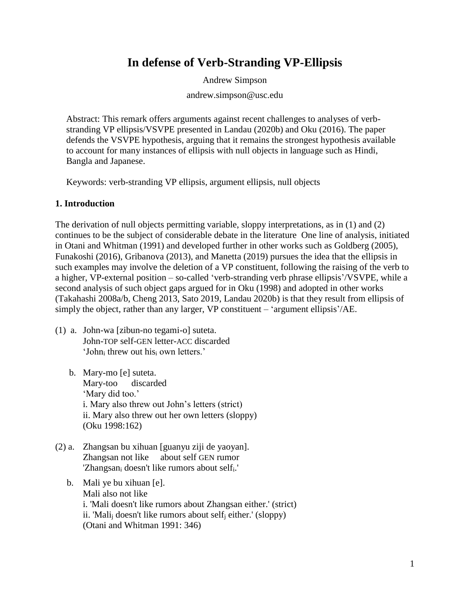# **In defense of Verb-Stranding VP-Ellipsis**

Andrew Simpson

andrew.simpson@usc.edu

Abstract: This remark offers arguments against recent challenges to analyses of verbstranding VP ellipsis/VSVPE presented in Landau (2020b) and Oku (2016). The paper defends the VSVPE hypothesis, arguing that it remains the strongest hypothesis available to account for many instances of ellipsis with null objects in language such as Hindi, Bangla and Japanese.

Keywords: verb-stranding VP ellipsis, argument ellipsis, null objects

## **1. Introduction**

The derivation of null objects permitting variable, sloppy interpretations, as in (1) and (2) continues to be the subject of considerable debate in the literature One line of analysis, initiated in Otani and Whitman (1991) and developed further in other works such as Goldberg (2005), Funakoshi (2016), Gribanova (2013), and Manetta (2019) pursues the idea that the ellipsis in such examples may involve the deletion of a VP constituent, following the raising of the verb to a higher, VP-external position – so-called 'verb-stranding verb phrase ellipsis'/VSVPE, while a second analysis of such object gaps argued for in Oku (1998) and adopted in other works (Takahashi 2008a/b, Cheng 2013, Sato 2019, Landau 2020b) is that they result from ellipsis of simply the object, rather than any larger, VP constituent – 'argument ellipsis'/AE.

- (1) a. John-wa [zibun-no tegami-o] suteta. John-TOP self-GEN letter-ACC discarded 'John<sup>i</sup> threw out his<sup>i</sup> own letters.'
	- b. Mary-mo [e] suteta. Mary-too discarded 'Mary did too.' i. Mary also threw out John's letters (strict) ii. Mary also threw out her own letters (sloppy) (Oku 1998:162)
- (2) a. Zhangsan bu xihuan [guanyu ziji de yaoyan]. Zhangsan not like about self GEN rumor 'Zhangsan<sub>i</sub> doesn't like rumors about self<sub>i</sub>.'
	- b. Mali ye bu xihuan [e]. Mali also not like i. 'Mali doesn't like rumors about Zhangsan either.' (strict) ii. 'Mali<sub>i</sub> doesn't like rumors about self<sub>i</sub> either.' (sloppy) (Otani and Whitman 1991: 346)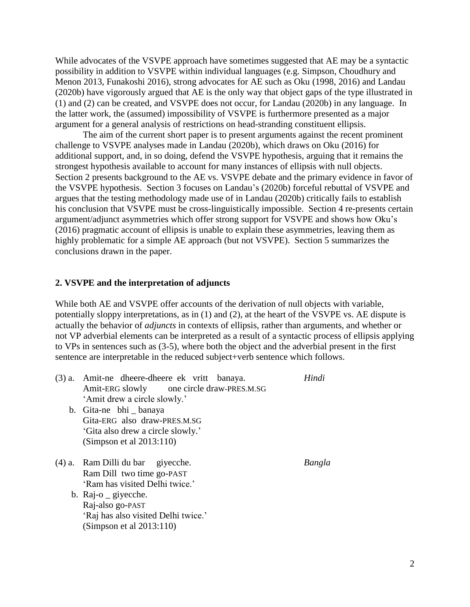While advocates of the VSVPE approach have sometimes suggested that AE may be a syntactic possibility in addition to VSVPE within individual languages (e.g. Simpson, Choudhury and Menon 2013, Funakoshi 2016), strong advocates for AE such as Oku (1998, 2016) and Landau (2020b) have vigorously argued that AE is the only way that object gaps of the type illustrated in (1) and (2) can be created, and VSVPE does not occur, for Landau (2020b) in any language. In the latter work, the (assumed) impossibility of VSVPE is furthermore presented as a major argument for a general analysis of restrictions on head-stranding constituent ellipsis.

The aim of the current short paper is to present arguments against the recent prominent challenge to VSVPE analyses made in Landau (2020b), which draws on Oku (2016) for additional support, and, in so doing, defend the VSVPE hypothesis, arguing that it remains the strongest hypothesis available to account for many instances of ellipsis with null objects. Section 2 presents background to the AE vs. VSVPE debate and the primary evidence in favor of the VSVPE hypothesis. Section 3 focuses on Landau's (2020b) forceful rebuttal of VSVPE and argues that the testing methodology made use of in Landau (2020b) critically fails to establish his conclusion that VSVPE must be cross-linguistically impossible. Section 4 re-presents certain argument/adjunct asymmetries which offer strong support for VSVPE and shows how Oku's (2016) pragmatic account of ellipsis is unable to explain these asymmetries, leaving them as highly problematic for a simple AE approach (but not VSVPE). Section 5 summarizes the conclusions drawn in the paper.

#### **2. VSVPE and the interpretation of adjuncts**

While both AE and VSVPE offer accounts of the derivation of null objects with variable, potentially sloppy interpretations, as in (1) and (2), at the heart of the VSVPE vs. AE dispute is actually the behavior of *adjuncts* in contexts of ellipsis, rather than arguments, and whether or not VP adverbial elements can be interpreted as a result of a syntactic process of ellipsis applying to VPs in sentences such as (3-5), where both the object and the adverbial present in the first sentence are interpretable in the reduced subject+verb sentence which follows.

| $(3)$ a. | Amit-ne dheere-dheere ek vritt banaya.    | Hindi  |
|----------|-------------------------------------------|--------|
|          | Amit-ERG slowly one circle draw-PRES.M.SG |        |
|          | 'Amit drew a circle slowly.'              |        |
|          | b. Gita-ne bhi banaya                     |        |
|          | Gita-ERG also draw-PRES.M.SG              |        |
|          | 'Gita also drew a circle slowly.'         |        |
|          | (Simpson et al 2013:110)                  |        |
|          | $(4)$ a. Ram Dilli du bar givecche.       | Bangla |
|          | Ram Dill two time go-PAST                 |        |
|          | 'Ram has visited Delhi twice.'            |        |
|          | b. Raj-o $\qquad$ givecche.               |        |
|          | Raj-also go-PAST                          |        |
|          | 'Raj has also visited Delhi twice.'       |        |
|          | (Simpson et al $2013:110$ )               |        |
|          |                                           |        |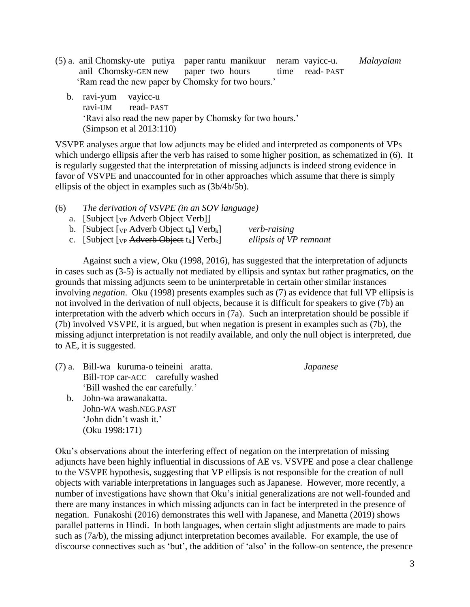- (5) a. anil Chomsky-ute putiya paper rantu manikuur neram vayicc-u. *Malayalam* anil Chomsky-GEN new paper two hours time read- PAST 'Ram read the new paper by Chomsky for two hours.'
	- b. ravi-yum vayicc-u ravi-UM read- PAST 'Ravi also read the new paper by Chomsky for two hours.' (Simpson et al 2013:110)

VSVPE analyses argue that low adjuncts may be elided and interpreted as components of VPs which undergo ellipsis after the verb has raised to some higher position, as schematized in (6). It is regularly suggested that the interpretation of missing adjuncts is indeed strong evidence in favor of VSVPE and unaccounted for in other approaches which assume that there is simply ellipsis of the object in examples such as (3b/4b/5b).

- (6) *The derivation of VSVPE (in an SOV language)*
	- a. [Subject [VP Adverb Object Verb]]

| b. [Subject [vp Adverb Object $t_k$ ] Verb <sub>k</sub> ]          | verb-raising           |
|--------------------------------------------------------------------|------------------------|
| c. [Subject [vp Adverb Object t <sub>k</sub> ] Verb <sub>k</sub> ] | ellipsis of VP remnant |

Against such a view, Oku (1998, 2016), has suggested that the interpretation of adjuncts in cases such as (3-5) is actually not mediated by ellipsis and syntax but rather pragmatics, on the grounds that missing adjuncts seem to be uninterpretable in certain other similar instances involving *negation*. Oku (1998) presents examples such as (7) as evidence that full VP ellipsis is not involved in the derivation of null objects, because it is difficult for speakers to give (7b) an interpretation with the adverb which occurs in (7a). Such an interpretation should be possible if (7b) involved VSVPE, it is argued, but when negation is present in examples such as (7b), the missing adjunct interpretation is not readily available, and only the null object is interpreted, due to AE, it is suggested.

(7) a. Bill-wa kuruma-o teineini aratta. *Japanese* Bill-TOP car-ACC carefully washed 'Bill washed the car carefully.'

 b. John-wa arawanakatta. John-WA wash.NEG.PAST 'John didn't wash it.' (Oku 1998:171)

Oku's observations about the interfering effect of negation on the interpretation of missing adjuncts have been highly influential in discussions of AE vs. VSVPE and pose a clear challenge to the VSVPE hypothesis, suggesting that VP ellipsis is not responsible for the creation of null objects with variable interpretations in languages such as Japanese. However, more recently, a number of investigations have shown that Oku's initial generalizations are not well-founded and there are many instances in which missing adjuncts can in fact be interpreted in the presence of negation. Funakoshi (2016) demonstrates this well with Japanese, and Manetta (2019) shows parallel patterns in Hindi. In both languages, when certain slight adjustments are made to pairs such as (7a/b), the missing adjunct interpretation becomes available. For example, the use of discourse connectives such as 'but', the addition of 'also' in the follow-on sentence, the presence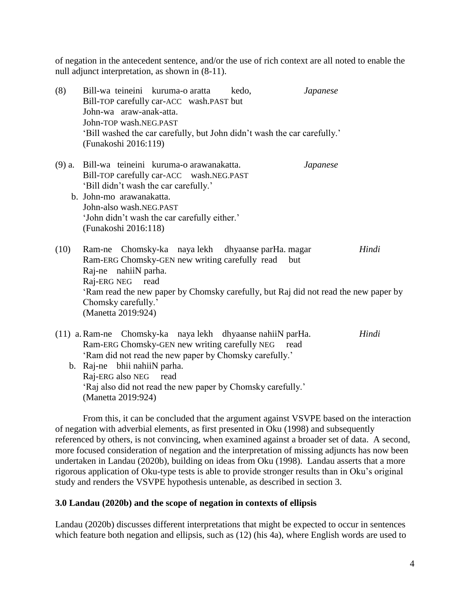of negation in the antecedent sentence, and/or the use of rich context are all noted to enable the null adjunct interpretation, as shown in (8-11).

| (8)      | Bill-wa teineini kuruma-o aratta<br>John-wa araw-anak-atta.<br>John-TOP wash.NEG.PAST<br>(Funakoshi 2016:119)                                                   | Bill-TOP carefully car-ACC wash.PAST but<br>'Bill washed the car carefully, but John didn't wash the car carefully.'                  | kedo, | <b>Japanese</b> |       |
|----------|-----------------------------------------------------------------------------------------------------------------------------------------------------------------|---------------------------------------------------------------------------------------------------------------------------------------|-------|-----------------|-------|
| $(9)$ a. | Bill-wa teineini kuruma-o arawanakatta.<br>'Bill didn't wash the car carefully.'<br>b. John-mo arawanakatta.<br>John-also wash.NEG.PAST<br>(Funakoshi 2016:118) | Bill-TOP carefully car-ACC wash.NEG.PAST<br>'John didn't wash the car carefully either.'                                              |       | <i>Japanese</i> |       |
| (10)     | Ram-ne Chomsky-ka naya lekh dhyaanse parHa. magar<br>Raj-ne nahiiN parha.<br>Raj-ERG NEG read<br>Chomsky carefully.'<br>(Manetta 2019:924)                      | Ram-ERG Chomsky-GEN new writing carefully read<br>'Ram read the new paper by Chomsky carefully, but Raj did not read the new paper by | but   |                 | Hindi |
|          | (11) a. Ram-ne Chomsky-ka naya lekh dhyaanse nahiiN parHa.<br>Ram-ERG Chomsky-GEN new writing carefully NEG read                                                | 'Ram did not read the new paper by Chomsky carefully.'                                                                                |       |                 | Hindi |

 b. Raj-ne bhii nahiiN parha. Raj-ERG also NEG read 'Raj also did not read the new paper by Chomsky carefully.' (Manetta 2019:924)

From this, it can be concluded that the argument against VSVPE based on the interaction of negation with adverbial elements, as first presented in Oku (1998) and subsequently referenced by others, is not convincing, when examined against a broader set of data. A second, more focused consideration of negation and the interpretation of missing adjuncts has now been undertaken in Landau (2020b), building on ideas from Oku (1998). Landau asserts that a more rigorous application of Oku-type tests is able to provide stronger results than in Oku's original study and renders the VSVPE hypothesis untenable, as described in section 3.

# **3.0 Landau (2020b) and the scope of negation in contexts of ellipsis**

Landau (2020b) discusses different interpretations that might be expected to occur in sentences which feature both negation and ellipsis, such as (12) (his 4a), where English words are used to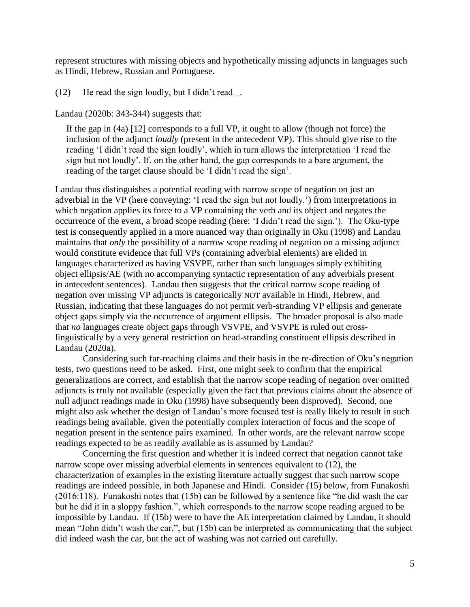represent structures with missing objects and hypothetically missing adjuncts in languages such as Hindi, Hebrew, Russian and Portuguese.

(12) He read the sign loudly, but I didn't read \_.

Landau (2020b: 343-344) suggests that:

If the gap in (4a) [12] corresponds to a full VP, it ought to allow (though not force) the inclusion of the adjunct *loudly* (present in the antecedent VP). This should give rise to the reading 'I didn't read the sign loudly', which in turn allows the interpretation 'I read the sign but not loudly'. If, on the other hand, the gap corresponds to a bare argument, the reading of the target clause should be 'I didn't read the sign'.

Landau thus distinguishes a potential reading with narrow scope of negation on just an adverbial in the VP (here conveying: 'I read the sign but not loudly.') from interpretations in which negation applies its force to a VP containing the verb and its object and negates the occurrence of the event, a broad scope reading (here: 'I didn't read the sign.'). The Oku-type test is consequently applied in a more nuanced way than originally in Oku (1998) and Landau maintains that *only* the possibility of a narrow scope reading of negation on a missing adjunct would constitute evidence that full VPs (containing adverbial elements) are elided in languages characterized as having VSVPE, rather than such languages simply exhibiting object ellipsis/AE (with no accompanying syntactic representation of any adverbials present in antecedent sentences). Landau then suggests that the critical narrow scope reading of negation over missing VP adjuncts is categorically NOT available in Hindi, Hebrew, and Russian, indicating that these languages do not permit verb-stranding VP ellipsis and generate object gaps simply via the occurrence of argument ellipsis. The broader proposal is also made that *no* languages create object gaps through VSVPE, and VSVPE is ruled out crosslinguistically by a very general restriction on head-stranding constituent ellipsis described in Landau (2020a).

Considering such far-reaching claims and their basis in the re-direction of Oku's negation tests, two questions need to be asked. First, one might seek to confirm that the empirical generalizations are correct, and establish that the narrow scope reading of negation over omitted adjuncts is truly not available (especially given the fact that previous claims about the absence of null adjunct readings made in Oku (1998) have subsequently been disproved). Second, one might also ask whether the design of Landau's more focused test is really likely to result in such readings being available, given the potentially complex interaction of focus and the scope of negation present in the sentence pairs examined. In other words, are the relevant narrow scope readings expected to be as readily available as is assumed by Landau?

Concerning the first question and whether it is indeed correct that negation cannot take narrow scope over missing adverbial elements in sentences equivalent to (12), the characterization of examples in the existing literature actually suggest that such narrow scope readings are indeed possible, in both Japanese and Hindi. Consider (15) below, from Funakoshi (2016:118). Funakoshi notes that (15b) can be followed by a sentence like "he did wash the car but he did it in a sloppy fashion.", which corresponds to the narrow scope reading argued to be impossible by Landau. If (15b) were to have the AE interpretation claimed by Landau, it should mean "John didn't wash the car.", but (15b) can be interpreted as communicating that the subject did indeed wash the car, but the act of washing was not carried out carefully.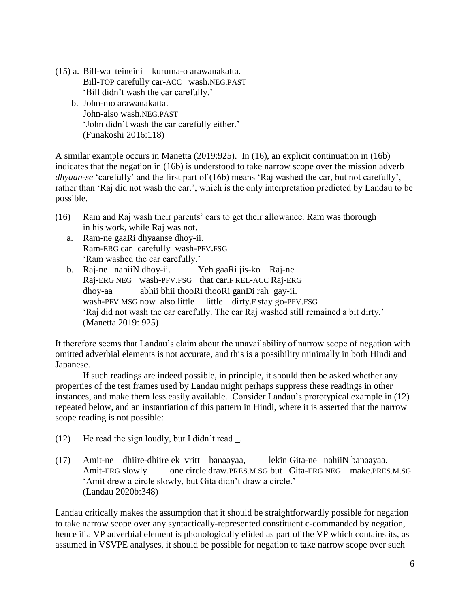- (15) a. Bill-wa teineini kuruma-o arawanakatta. Bill-TOP carefully car-ACC wash.NEG.PAST 'Bill didn't wash the car carefully.'
	- b. John-mo arawanakatta. John-also wash.NEG.PAST 'John didn't wash the car carefully either.' (Funakoshi 2016:118)

A similar example occurs in Manetta (2019:925). In (16), an explicit continuation in (16b) indicates that the negation in (16b) is understood to take narrow scope over the mission adverb *dhyaan-se* 'carefully' and the first part of (16b) means 'Raj washed the car, but not carefully', rather than 'Raj did not wash the car.', which is the only interpretation predicted by Landau to be possible.

- (16) Ram and Raj wash their parents' cars to get their allowance. Ram was thorough in his work, while Raj was not.
	- a. Ram-ne gaaRi dhyaanse dhoy-ii. Ram-ERG car carefully wash-PFV.FSG 'Ram washed the car carefully.'
	- b. Raj-ne nahiiN dhoy-ii. Yeh gaaRi jis-ko Raj-ne Raj-ERG NEG wash-PFV.FSG that car.F REL-ACC Raj-ERG dhoy-aa abhii bhii thooRi thooRi ganDi rah gay-ii. wash-PFV.MSG now also little little dirty.F stay go-PFV.FSG 'Raj did not wash the car carefully. The car Raj washed still remained a bit dirty.' (Manetta 2019: 925)

It therefore seems that Landau's claim about the unavailability of narrow scope of negation with omitted adverbial elements is not accurate, and this is a possibility minimally in both Hindi and Japanese.

If such readings are indeed possible, in principle, it should then be asked whether any properties of the test frames used by Landau might perhaps suppress these readings in other instances, and make them less easily available. Consider Landau's prototypical example in (12) repeated below, and an instantiation of this pattern in Hindi, where it is asserted that the narrow scope reading is not possible:

- (12) He read the sign loudly, but I didn't read  $\Box$ .
- (17) Amit-ne dhiire-dhiire ek vritt banaayaa, lekin Gita-ne nahiiN banaayaa. Amit-ERG slowly one circle draw.PRES.M.SG but Gita-ERG NEG make.PRES.M.SG 'Amit drew a circle slowly, but Gita didn't draw a circle.' (Landau 2020b:348)

Landau critically makes the assumption that it should be straightforwardly possible for negation to take narrow scope over any syntactically-represented constituent c-commanded by negation, hence if a VP adverbial element is phonologically elided as part of the VP which contains its, as assumed in VSVPE analyses, it should be possible for negation to take narrow scope over such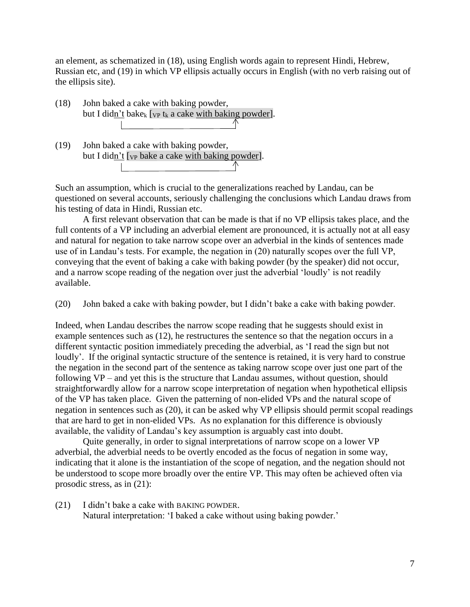an element, as schematized in (18), using English words again to represent Hindi, Hebrew, Russian etc, and (19) in which VP ellipsis actually occurs in English (with no verb raising out of the ellipsis site).

- (18) John baked a cake with baking powder, but I didn't bake<sub>k</sub> [vp t<sub>k</sub> a cake with baking powder].
- (19) John baked a cake with baking powder, but I didn't  $[\nu_P]$  bake a cake with baking powder]. the contract of the contract of the

Such an assumption, which is crucial to the generalizations reached by Landau, can be questioned on several accounts, seriously challenging the conclusions which Landau draws from his testing of data in Hindi, Russian etc.

A first relevant observation that can be made is that if no VP ellipsis takes place, and the full contents of a VP including an adverbial element are pronounced, it is actually not at all easy and natural for negation to take narrow scope over an adverbial in the kinds of sentences made use of in Landau's tests. For example, the negation in (20) naturally scopes over the full VP, conveying that the event of baking a cake with baking powder (by the speaker) did not occur, and a narrow scope reading of the negation over just the adverbial 'loudly' is not readily available.

(20) John baked a cake with baking powder, but I didn't bake a cake with baking powder.

Indeed, when Landau describes the narrow scope reading that he suggests should exist in example sentences such as (12), he restructures the sentence so that the negation occurs in a different syntactic position immediately preceding the adverbial, as 'I read the sign but not loudly'. If the original syntactic structure of the sentence is retained, it is very hard to construe the negation in the second part of the sentence as taking narrow scope over just one part of the following VP – and yet this is the structure that Landau assumes, without question, should straightforwardly allow for a narrow scope interpretation of negation when hypothetical ellipsis of the VP has taken place. Given the patterning of non-elided VPs and the natural scope of negation in sentences such as (20), it can be asked why VP ellipsis should permit scopal readings that are hard to get in non-elided VPs. As no explanation for this difference is obviously available, the validity of Landau's key assumption is arguably cast into doubt.

Quite generally, in order to signal interpretations of narrow scope on a lower VP adverbial, the adverbial needs to be overtly encoded as the focus of negation in some way, indicating that it alone is the instantiation of the scope of negation, and the negation should not be understood to scope more broadly over the entire VP. This may often be achieved often via prosodic stress, as in (21):

(21) I didn't bake a cake with BAKING POWDER. Natural interpretation: 'I baked a cake without using baking powder.'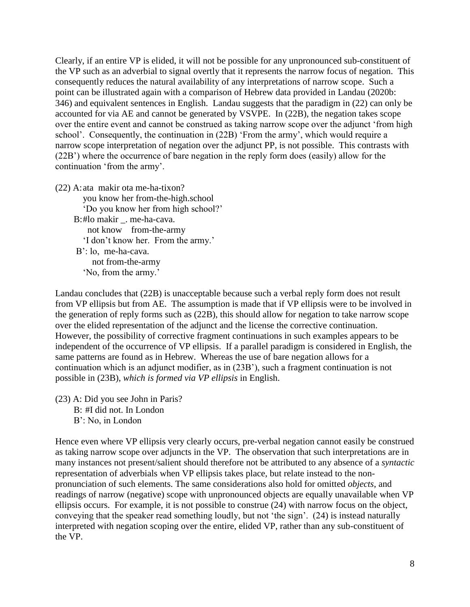Clearly, if an entire VP is elided, it will not be possible for any unpronounced sub-constituent of the VP such as an adverbial to signal overtly that it represents the narrow focus of negation. This consequently reduces the natural availability of any interpretations of narrow scope. Such a point can be illustrated again with a comparison of Hebrew data provided in Landau (2020b: 346) and equivalent sentences in English. Landau suggests that the paradigm in (22) can only be accounted for via AE and cannot be generated by VSVPE. In (22B), the negation takes scope over the entire event and cannot be construed as taking narrow scope over the adjunct 'from high school'. Consequently, the continuation in (22B) 'From the army', which would require a narrow scope interpretation of negation over the adjunct PP, is not possible. This contrasts with (22B') where the occurrence of bare negation in the reply form does (easily) allow for the continuation 'from the army'.

(22) A:ata makir ota me-ha-tixon? you know her from-the-high.school 'Do you know her from high school?' B:#lo makir . me-ha-cava. not know from-the-army 'I don't know her. From the army.' B': lo, me-ha-cava. not from-the-army 'No, from the army.'

Landau concludes that (22B) is unacceptable because such a verbal reply form does not result from VP ellipsis but from AE. The assumption is made that if VP ellipsis were to be involved in the generation of reply forms such as (22B), this should allow for negation to take narrow scope over the elided representation of the adjunct and the license the corrective continuation. However, the possibility of corrective fragment continuations in such examples appears to be independent of the occurrence of VP ellipsis. If a parallel paradigm is considered in English, the same patterns are found as in Hebrew. Whereas the use of bare negation allows for a continuation which is an adjunct modifier, as in (23B'), such a fragment continuation is not possible in (23B), *which is formed via VP ellipsis* in English.

- (23) A: Did you see John in Paris?
	- B: #I did not. In London B': No, in London

Hence even where VP ellipsis very clearly occurs, pre-verbal negation cannot easily be construed as taking narrow scope over adjuncts in the VP. The observation that such interpretations are in many instances not present/salient should therefore not be attributed to any absence of a *syntactic*  representation of adverbials when VP ellipsis takes place, but relate instead to the nonpronunciation of such elements. The same considerations also hold for omitted *objects*, and readings of narrow (negative) scope with unpronounced objects are equally unavailable when VP ellipsis occurs. For example, it is not possible to construe (24) with narrow focus on the object, conveying that the speaker read something loudly, but not 'the sign'. (24) is instead naturally interpreted with negation scoping over the entire, elided VP, rather than any sub-constituent of the VP.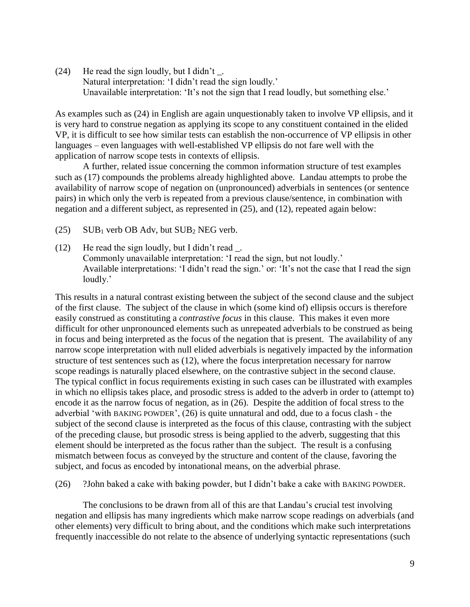(24) He read the sign loudly, but I didn't  $\Box$ . Natural interpretation: 'I didn't read the sign loudly.' Unavailable interpretation: 'It's not the sign that I read loudly, but something else.'

As examples such as (24) in English are again unquestionably taken to involve VP ellipsis, and it is very hard to construe negation as applying its scope to any constituent contained in the elided VP, it is difficult to see how similar tests can establish the non-occurrence of VP ellipsis in other languages – even languages with well-established VP ellipsis do not fare well with the application of narrow scope tests in contexts of ellipsis.

A further, related issue concerning the common information structure of test examples such as (17) compounds the problems already highlighted above. Landau attempts to probe the availability of narrow scope of negation on (unpronounced) adverbials in sentences (or sentence pairs) in which only the verb is repeated from a previous clause/sentence, in combination with negation and a different subject, as represented in (25), and (12), repeated again below:

- (25) SUB<sup>1</sup> verb OB Adv, but SUB<sup>2</sup> NEG verb.
- (12) He read the sign loudly, but I didn't read \_. Commonly unavailable interpretation: 'I read the sign, but not loudly.' Available interpretations: 'I didn't read the sign.' or: 'It's not the case that I read the sign loudly.'

This results in a natural contrast existing between the subject of the second clause and the subject of the first clause. The subject of the clause in which (some kind of) ellipsis occurs is therefore easily construed as constituting a *contrastive focus* in this clause. This makes it even more difficult for other unpronounced elements such as unrepeated adverbials to be construed as being in focus and being interpreted as the focus of the negation that is present. The availability of any narrow scope interpretation with null elided adverbials is negatively impacted by the information structure of test sentences such as (12), where the focus interpretation necessary for narrow scope readings is naturally placed elsewhere, on the contrastive subject in the second clause. The typical conflict in focus requirements existing in such cases can be illustrated with examples in which no ellipsis takes place, and prosodic stress is added to the adverb in order to (attempt to) encode it as the narrow focus of negation, as in (26). Despite the addition of focal stress to the adverbial 'with BAKING POWDER', (26) is quite unnatural and odd, due to a focus clash - the subject of the second clause is interpreted as the focus of this clause, contrasting with the subject of the preceding clause, but prosodic stress is being applied to the adverb, suggesting that this element should be interpreted as the focus rather than the subject. The result is a confusing mismatch between focus as conveyed by the structure and content of the clause, favoring the subject, and focus as encoded by intonational means, on the adverbial phrase.

(26) ?John baked a cake with baking powder, but I didn't bake a cake with BAKING POWDER.

The conclusions to be drawn from all of this are that Landau's crucial test involving negation and ellipsis has many ingredients which make narrow scope readings on adverbials (and other elements) very difficult to bring about, and the conditions which make such interpretations frequently inaccessible do not relate to the absence of underlying syntactic representations (such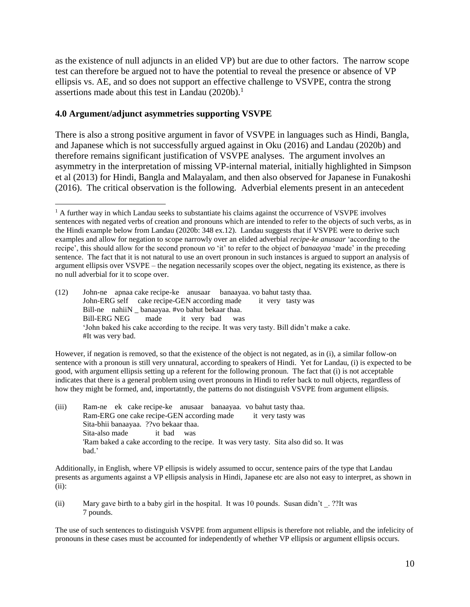as the existence of null adjuncts in an elided VP) but are due to other factors. The narrow scope test can therefore be argued not to have the potential to reveal the presence or absence of VP ellipsis vs. AE, and so does not support an effective challenge to VSVPE, contra the strong assertions made about this test in Landau (2020b).<sup>1</sup>

# **4.0 Argument/adjunct asymmetries supporting VSVPE**

There is also a strong positive argument in favor of VSVPE in languages such as Hindi, Bangla, and Japanese which is not successfully argued against in Oku (2016) and Landau (2020b) and therefore remains significant justification of VSVPE analyses. The argument involves an asymmetry in the interpretation of missing VP-internal material, initially highlighted in Simpson et al (2013) for Hindi, Bangla and Malayalam, and then also observed for Japanese in Funakoshi (2016). The critical observation is the following. Adverbial elements present in an antecedent

(12) John-ne apnaa cake recipe-ke anusaar banaayaa. vo bahut tasty thaa. John-ERG self cake recipe-GEN according made it very tasty was Bill-ne nahiiN banaayaa. #vo bahut bekaar thaa. Bill-ERG NEG made it very bad was 'John baked his cake according to the recipe. It was very tasty. Bill didn't make a cake. #It was very bad.

However, if negation is removed, so that the existence of the object is not negated, as in (i), a similar follow-on sentence with a pronoun is still very unnatural, according to speakers of Hindi. Yet for Landau, (i) is expected to be good, with argument ellipsis setting up a referent for the following pronoun. The fact that (i) is not acceptable indicates that there is a general problem using overt pronouns in Hindi to refer back to null objects, regardless of how they might be formed, and, importatntly, the patterns do not distinguish VSVPE from argument ellipsis.

(iii) Ram-ne ek cake recipe-ke anusaar banaayaa. vo bahut tasty thaa. Ram-ERG one cake recipe-GEN according made it very tasty was Sita-bhii banaayaa. ??vo bekaar thaa. Sita-also made it bad was 'Ram baked a cake according to the recipe. It was very tasty. Sita also did so. It was bad.'

Additionally, in English, where VP ellipsis is widely assumed to occur, sentence pairs of the type that Landau presents as arguments against a VP ellipsis analysis in Hindi, Japanese etc are also not easy to interpret, as shown in (ii):

(ii) Mary gave birth to a baby girl in the hospital. It was 10 pounds. Susan didn't \_. ??It was 7 pounds.

The use of such sentences to distinguish VSVPE from argument ellipsis is therefore not reliable, and the infelicity of pronouns in these cases must be accounted for independently of whether VP ellipsis or argument ellipsis occurs.

 $\overline{a}$ <sup>1</sup> A further way in which Landau seeks to substantiate his claims against the occurrence of VSVPE involves sentences with negated verbs of creation and pronouns which are intended to refer to the objects of such verbs, as in the Hindi example below from Landau (2020b: 348 ex.12). Landau suggests that if VSVPE were to derive such examples and allow for negation to scope narrowly over an elided adverbial *recipe-ke anusaar* 'according to the recipe', this should allow for the second pronoun *vo* 'it' to refer to the object of *banaayaa* 'made' in the preceding sentence. The fact that it is not natural to use an overt pronoun in such instances is argued to support an analysis of argument ellipsis over VSVPE – the negation necessarily scopes over the object, negating its existence, as there is no null adverbial for it to scope over.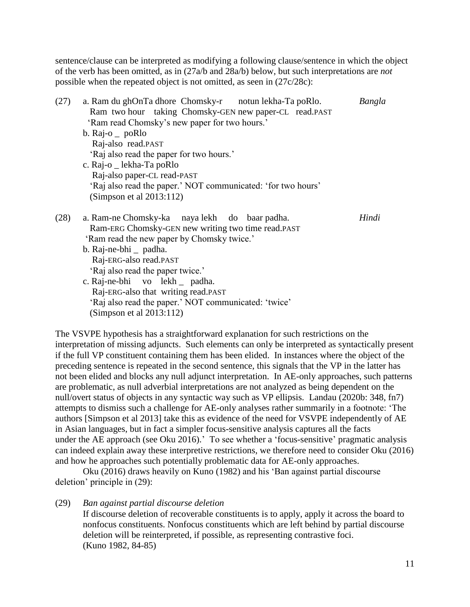sentence/clause can be interpreted as modifying a following clause/sentence in which the object of the verb has been omitted, as in (27a/b and 28a/b) below, but such interpretations are *not* possible when the repeated object is not omitted, as seen in (27c/28c):

| (27) | a. Ram du ghOnTa dhore Chomsky-r notun lekha-Ta poRlo.<br>Ram two hour taking Chomsky-GEN new paper-CL read.PAST<br>'Ram read Chomsky's new paper for two hours.'<br>b. $\text{Raj-o}$ poRlo<br>Raj-also read.PAST<br>'Raj also read the paper for two hours.'<br>c. Raj-o _ lekha-Ta poRlo<br>Raj-also paper-CL read-PAST<br>'Raj also read the paper.' NOT communicated: 'for two hours'<br>(Simpson et al $2013:112$ ) | Bangla |
|------|---------------------------------------------------------------------------------------------------------------------------------------------------------------------------------------------------------------------------------------------------------------------------------------------------------------------------------------------------------------------------------------------------------------------------|--------|
| (28) | a. Ram-ne Chomsky-ka naya lekh do baar padha.<br>Ram-ERG Chomsky-GEN new writing two time read.PAST<br>'Ram read the new paper by Chomsky twice.'<br>b. Raj-ne-bhi _ padha.<br>Raj-ERG-also read.PAST<br>'Raj also read the paper twice.'<br>c. Raj-ne-bhi vo lekh _ padha.<br>Raj-ERG-also that writing read.PAST<br>'Raj also read the paper.' NOT communicated: 'twice'<br>(Simpson et al $2013:112$ )                 | Hindi  |

The VSVPE hypothesis has a straightforward explanation for such restrictions on the interpretation of missing adjuncts. Such elements can only be interpreted as syntactically present if the full VP constituent containing them has been elided. In instances where the object of the preceding sentence is repeated in the second sentence, this signals that the VP in the latter has not been elided and blocks any null adjunct interpretation. In AE-only approaches, such patterns are problematic, as null adverbial interpretations are not analyzed as being dependent on the null/overt status of objects in any syntactic way such as VP ellipsis. Landau (2020b: 348, fn7) attempts to dismiss such a challenge for AE-only analyses rather summarily in a footnote: 'The authors [Simpson et al 2013] take this as evidence of the need for VSVPE independently of AE in Asian languages, but in fact a simpler focus-sensitive analysis captures all the facts under the AE approach (see Oku 2016).' To see whether a 'focus-sensitive' pragmatic analysis can indeed explain away these interpretive restrictions, we therefore need to consider Oku (2016) and how he approaches such potentially problematic data for AE-only approaches.

Oku (2016) draws heavily on Kuno (1982) and his 'Ban against partial discourse deletion' principle in (29):

(29) *Ban against partial discourse deletion*

If discourse deletion of recoverable constituents is to apply, apply it across the board to nonfocus constituents. Nonfocus constituents which are left behind by partial discourse deletion will be reinterpreted, if possible, as representing contrastive foci. (Kuno 1982, 84-85)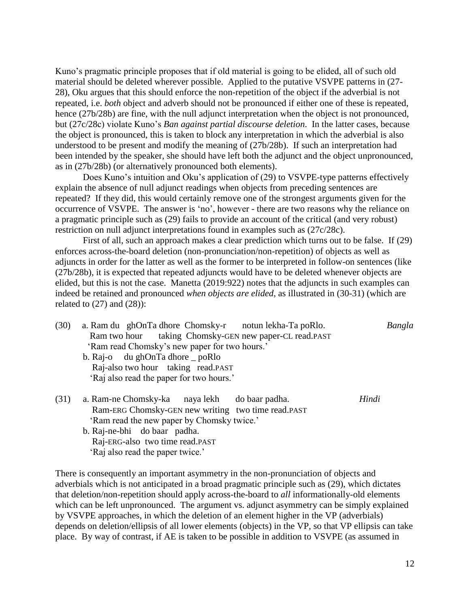Kuno's pragmatic principle proposes that if old material is going to be elided, all of such old material should be deleted wherever possible. Applied to the putative VSVPE patterns in (27- 28), Oku argues that this should enforce the non-repetition of the object if the adverbial is not repeated, i.e. *both* object and adverb should not be pronounced if either one of these is repeated, hence (27b/28b) are fine, with the null adjunct interpretation when the object is not pronounced, but (27c/28c) violate Kuno's *Ban against partial discourse deletion*. In the latter cases, because the object is pronounced, this is taken to block any interpretation in which the adverbial is also understood to be present and modify the meaning of (27b/28b). If such an interpretation had been intended by the speaker, she should have left both the adjunct and the object unpronounced, as in (27b/28b) (or alternatively pronounced both elements).

Does Kuno's intuition and Oku's application of (29) to VSVPE-type patterns effectively explain the absence of null adjunct readings when objects from preceding sentences are repeated? If they did, this would certainly remove one of the strongest arguments given for the occurrence of VSVPE. The answer is 'no', however - there are two reasons why the reliance on a pragmatic principle such as (29) fails to provide an account of the critical (and very robust) restriction on null adjunct interpretations found in examples such as (27c/28c).

First of all, such an approach makes a clear prediction which turns out to be false. If (29) enforces across-the-board deletion (non-pronunciation/non-repetition) of objects as well as adjuncts in order for the latter as well as the former to be interpreted in follow-on sentences (like (27b/28b), it is expected that repeated adjuncts would have to be deleted whenever objects are elided, but this is not the case. Manetta (2019:922) notes that the adjuncts in such examples can indeed be retained and pronounced *when objects are elided*, as illustrated in (30-31) (which are related to  $(27)$  and  $(28)$ :

- (30) a. Ram du ghOnTa dhore Chomsky-r notun lekha-Ta poRlo. *Bangla* Ram two hour taking Chomsky-GEN new paper-CL read.PAST 'Ram read Chomsky's new paper for two hours.'
	- b. Raj-o du ghOnTa dhore \_ poRlo Raj-also two hour taking read.PAST 'Raj also read the paper for two hours.'
- (31) a. Ram-ne Chomsky-ka naya lekh do baar padha. *Hindi* Ram-ERG Chomsky-GEN new writing two time read.PAST 'Ram read the new paper by Chomsky twice.'
	- b. Raj-ne-bhi do baar padha. Raj-ERG-also two time read.PAST 'Raj also read the paper twice.'

There is consequently an important asymmetry in the non-pronunciation of objects and adverbials which is not anticipated in a broad pragmatic principle such as (29), which dictates that deletion/non-repetition should apply across-the-board to *all* informationally-old elements which can be left unpronounced. The argument vs. adjunct asymmetry can be simply explained by VSVPE approaches, in which the deletion of an element higher in the VP (adverbials) depends on deletion/ellipsis of all lower elements (objects) in the VP, so that VP ellipsis can take place. By way of contrast, if AE is taken to be possible in addition to VSVPE (as assumed in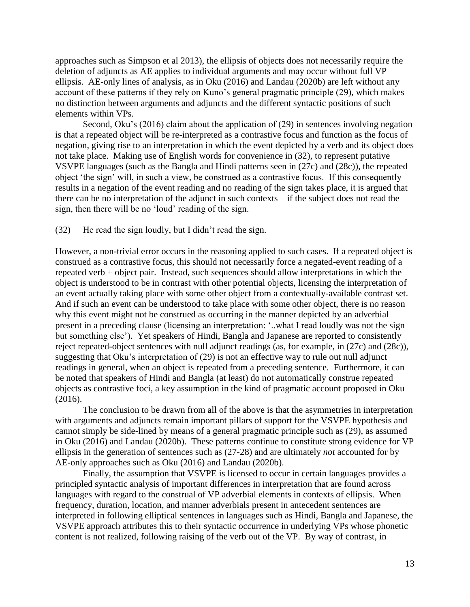approaches such as Simpson et al 2013), the ellipsis of objects does not necessarily require the deletion of adjuncts as AE applies to individual arguments and may occur without full VP ellipsis. AE-only lines of analysis, as in Oku (2016) and Landau (2020b) are left without any account of these patterns if they rely on Kuno's general pragmatic principle (29), which makes no distinction between arguments and adjuncts and the different syntactic positions of such elements within VPs.

Second, Oku's (2016) claim about the application of (29) in sentences involving negation is that a repeated object will be re-interpreted as a contrastive focus and function as the focus of negation, giving rise to an interpretation in which the event depicted by a verb and its object does not take place. Making use of English words for convenience in (32), to represent putative VSVPE languages (such as the Bangla and Hindi patterns seen in (27c) and (28c)), the repeated object 'the sign' will, in such a view, be construed as a contrastive focus. If this consequently results in a negation of the event reading and no reading of the sign takes place, it is argued that there can be no interpretation of the adjunct in such contexts – if the subject does not read the sign, then there will be no 'loud' reading of the sign.

(32) He read the sign loudly, but I didn't read the sign.

However, a non-trivial error occurs in the reasoning applied to such cases. If a repeated object is construed as a contrastive focus, this should not necessarily force a negated-event reading of a repeated verb + object pair. Instead, such sequences should allow interpretations in which the object is understood to be in contrast with other potential objects, licensing the interpretation of an event actually taking place with some other object from a contextually-available contrast set. And if such an event can be understood to take place with some other object, there is no reason why this event might not be construed as occurring in the manner depicted by an adverbial present in a preceding clause (licensing an interpretation: '..what I read loudly was not the sign but something else'). Yet speakers of Hindi, Bangla and Japanese are reported to consistently reject repeated-object sentences with null adjunct readings (as, for example, in (27c) and (28c)), suggesting that Oku's interpretation of (29) is not an effective way to rule out null adjunct readings in general, when an object is repeated from a preceding sentence. Furthermore, it can be noted that speakers of Hindi and Bangla (at least) do not automatically construe repeated objects as contrastive foci, a key assumption in the kind of pragmatic account proposed in Oku (2016).

The conclusion to be drawn from all of the above is that the asymmetries in interpretation with arguments and adjuncts remain important pillars of support for the VSVPE hypothesis and cannot simply be side-lined by means of a general pragmatic principle such as (29), as assumed in Oku (2016) and Landau (2020b). These patterns continue to constitute strong evidence for VP ellipsis in the generation of sentences such as (27-28) and are ultimately *not* accounted for by AE-only approaches such as Oku (2016) and Landau (2020b).

Finally, the assumption that VSVPE is licensed to occur in certain languages provides a principled syntactic analysis of important differences in interpretation that are found across languages with regard to the construal of VP adverbial elements in contexts of ellipsis. When frequency, duration, location, and manner adverbials present in antecedent sentences are interpreted in following elliptical sentences in languages such as Hindi, Bangla and Japanese, the VSVPE approach attributes this to their syntactic occurrence in underlying VPs whose phonetic content is not realized, following raising of the verb out of the VP. By way of contrast, in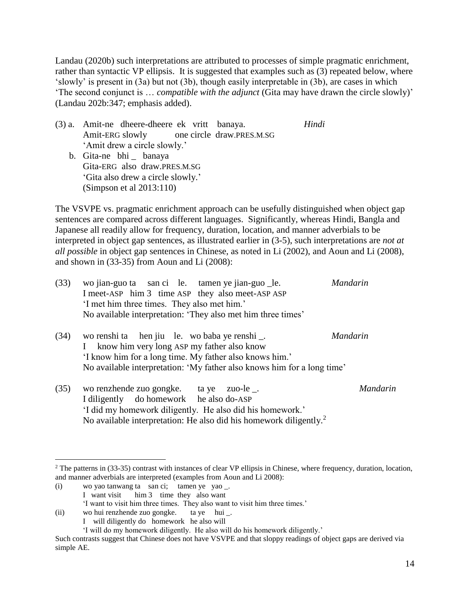Landau (2020b) such interpretations are attributed to processes of simple pragmatic enrichment, rather than syntactic VP ellipsis. It is suggested that examples such as (3) repeated below, where 'slowly' is present in (3a) but not (3b), though easily interpretable in (3b), are cases in which 'The second conjunct is … *compatible with the adjunct* (Gita may have drawn the circle slowly)' (Landau 202b:347; emphasis added).

- (3) a. Amit-ne dheere-dheere ek vritt banaya. *Hindi* Amit-ERG slowly one circle draw.PRES.M.SG 'Amit drew a circle slowly.'
	- b. Gita-ne bhi \_ banaya Gita-ERG also draw.PRES.M.SG 'Gita also drew a circle slowly.' (Simpson et al 2013:110)

The VSVPE vs. pragmatic enrichment approach can be usefully distinguished when object gap sentences are compared across different languages. Significantly, whereas Hindi, Bangla and Japanese all readily allow for frequency, duration, location, and manner adverbials to be interpreted in object gap sentences, as illustrated earlier in (3-5), such interpretations are *not at all possible* in object gap sentences in Chinese, as noted in Li (2002), and Aoun and Li (2008), and shown in (33-35) from Aoun and Li (2008):

| (33) | wo jian-guo ta san ci le. tamen ye jian-guo _le.<br>I meet-ASP him 3 time ASP they also meet-ASP ASP<br>'I met him three times. They also met him.'<br>No available interpretation: 'They also met him three times'               | <b>Mandarin</b> |
|------|-----------------------------------------------------------------------------------------------------------------------------------------------------------------------------------------------------------------------------------|-----------------|
| (34) | wo renshi ta hen jiu le. wo baba ye renshi _.<br>know him very long ASP my father also know<br>'I know him for a long time. My father also knows him.'<br>No available interpretation: 'My father also knows him for a long time' | <b>Mandarin</b> |
| (35) | wo renzhende zuo gongke. ta ye<br>zuo-le.<br>I diligently do homework he also do-ASP<br>'I did my homework diligently. He also did his homework.'                                                                                 | Mandarin        |

No available interpretation: He also did his homework diligently.<sup>2</sup>

(i) wo yao tanwang ta san ci; tamen ye yao \_.

 $\overline{a}$ 

I want visit him 3 time they also want

 $2$  The patterns in (33-35) contrast with instances of clear VP ellipsis in Chinese, where frequency, duration, location, and manner adverbials are interpreted (examples from Aoun and Li 2008):

<sup>&#</sup>x27;I want to visit him three times. They also want to visit him three times.'

<sup>(</sup>ii) wo hui renzhende zuo gongke. ta ye hui \_.

I will diligently do homework he also will

<sup>&#</sup>x27;I will do my homework diligently. He also will do his homework diligently.'

Such contrasts suggest that Chinese does not have VSVPE and that sloppy readings of object gaps are derived via simple AE.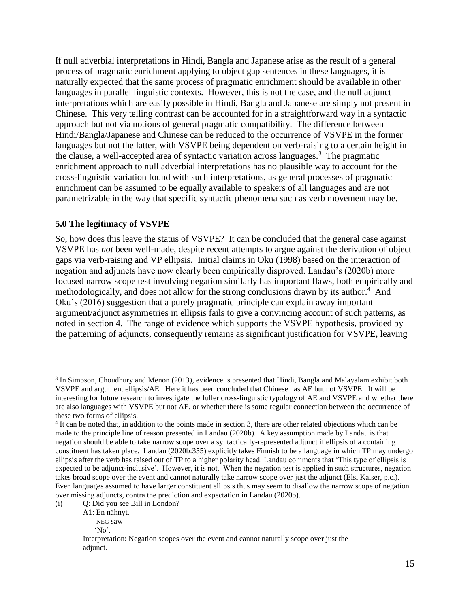If null adverbial interpretations in Hindi, Bangla and Japanese arise as the result of a general process of pragmatic enrichment applying to object gap sentences in these languages, it is naturally expected that the same process of pragmatic enrichment should be available in other languages in parallel linguistic contexts. However, this is not the case, and the null adjunct interpretations which are easily possible in Hindi, Bangla and Japanese are simply not present in Chinese. This very telling contrast can be accounted for in a straightforward way in a syntactic approach but not via notions of general pragmatic compatibility. The difference between Hindi/Bangla/Japanese and Chinese can be reduced to the occurrence of VSVPE in the former languages but not the latter, with VSVPE being dependent on verb-raising to a certain height in the clause, a well-accepted area of syntactic variation across languages.<sup>3</sup> The pragmatic enrichment approach to null adverbial interpretations has no plausible way to account for the cross-linguistic variation found with such interpretations, as general processes of pragmatic enrichment can be assumed to be equally available to speakers of all languages and are not parametrizable in the way that specific syntactic phenomena such as verb movement may be.

## **5.0 The legitimacy of VSVPE**

So, how does this leave the status of VSVPE? It can be concluded that the general case against VSVPE has *not* been well-made, despite recent attempts to argue against the derivation of object gaps via verb-raising and VP ellipsis. Initial claims in Oku (1998) based on the interaction of negation and adjuncts have now clearly been empirically disproved. Landau's (2020b) more focused narrow scope test involving negation similarly has important flaws, both empirically and methodologically, and does not allow for the strong conclusions drawn by its author. $4$  And Oku's (2016) suggestion that a purely pragmatic principle can explain away important argument/adjunct asymmetries in ellipsis fails to give a convincing account of such patterns, as noted in section 4. The range of evidence which supports the VSVPE hypothesis, provided by the patterning of adjuncts, consequently remains as significant justification for VSVPE, leaving

 $\overline{a}$ 

<sup>&</sup>lt;sup>3</sup> In Simpson, Choudhury and Menon (2013), evidence is presented that Hindi, Bangla and Malayalam exhibit both VSVPE and argument ellipsis/AE. Here it has been concluded that Chinese has AE but not VSVPE. It will be interesting for future research to investigate the fuller cross-linguistic typology of AE and VSVPE and whether there are also languages with VSVPE but not AE, or whether there is some regular connection between the occurrence of these two forms of ellipsis.

<sup>&</sup>lt;sup>4</sup> It can be noted that, in addition to the points made in section 3, there are other related objections which can be made to the principle line of reason presented in Landau (2020b). A key assumption made by Landau is that negation should be able to take narrow scope over a syntactically-represented adjunct if ellipsis of a containing constituent has taken place. Landau (2020b:355) explicitly takes Finnish to be a language in which TP may undergo ellipsis after the verb has raised out of TP to a higher polarity head. Landau comments that 'This type of ellipsis is expected to be adjunct-inclusive'. However, it is not. When the negation test is applied in such structures, negation takes broad scope over the event and cannot naturally take narrow scope over just the adjunct (Elsi Kaiser, p.c.). Even languages assumed to have larger constituent ellipsis thus may seem to disallow the narrow scope of negation over missing adjuncts, contra the prediction and expectation in Landau (2020b).

<sup>(</sup>i) Q: Did you see Bill in London?

A1: En nähnyt.

NEG saw

 <sup>&#</sup>x27;No'.

Interpretation: Negation scopes over the event and cannot naturally scope over just the adjunct.